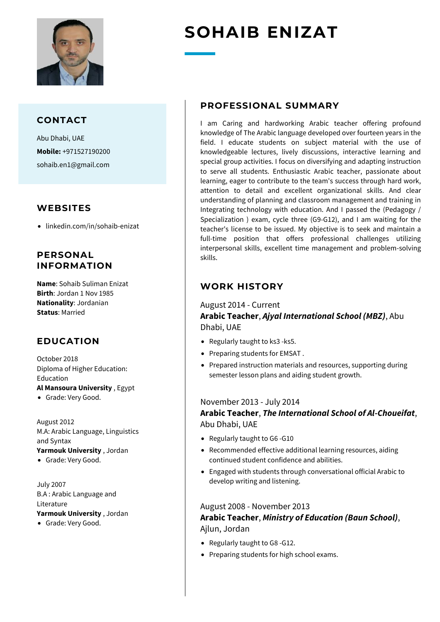

#### **CONTACT**

Abu Dhabi, UAE **Mobile:** +971527190200 sohaib.en1@gmail.com

#### **WEBSITES**

• linkedin.com/in/sohaib-enizat

### **PERSONAL INFORMATION**

**Name**: Sohaib Suliman Enizat **Birth**: Jordan 1 Nov 1985 **Nationality**: Jordanian **Status**: Married

## **EDUCATION**

October 2018 Diploma of Higher Education: Education **Al Mansoura University** , Egypt

• Grade: Very Good.

August 2012 M.A: Arabic Language, Linguistics and Syntax **Yarmouk University** , Jordan

• Grade: Very Good.

July 2007 B.A : Arabic Language and Literature **Yarmouk University** , Jordan

• Grade: Very Good.

# **SOHAIB ENIZAT**

#### **PROFESSIONAL SUMMARY**

I am Caring and hardworking Arabic teacher offering profound knowledge of The Arabic language developed over fourteen years in the field. I educate students on subject material with the use of knowledgeable lectures, lively discussions, interactive learning and special group activities. I focus on diversifying and adapting instruction to serve all students. Enthusiastic Arabic teacher, passionate about learning, eager to contribute to the team's success through hard work, attention to detail and excellent organizational skills. And clear understanding of planning and classroom management and training in Integrating technology with education. And I passed the (Pedagogy / Specialization ) exam, cycle three (G9-G12), and I am waiting for the teacher's license to be issued. My objective is to seek and maintain a full-time position that offers professional challenges utilizing interpersonal skills, excellent time management and problem-solving skills.

## **WORK HISTORY**

August 2014 - Current **Arabic Teacher**, *Ajyal International School (MBZ)*, Abu Dhabi, UAE

- Regularly taught to ks3 -ks5.
- Preparing students for EMSAT .
- Prepared instruction materials and resources, supporting during semester lesson plans and aiding student growth.

#### November 2013 - July 2014

#### **Arabic Teacher**, *The International School of Al-Choueifat*, Abu Dhabi, UAE

- Regularly taught to G6 -G10
- Recommended effective additional learning resources, aiding continued student confidence and abilities.
- Engaged with students through conversational official Arabic to develop writing and listening.

#### August 2008 - November 2013 **Arabic Teacher**, *Ministry of Education (Baun School)*, Ajlun, Jordan

- Regularly taught to G8 -G12.
- Preparing students for high school exams.